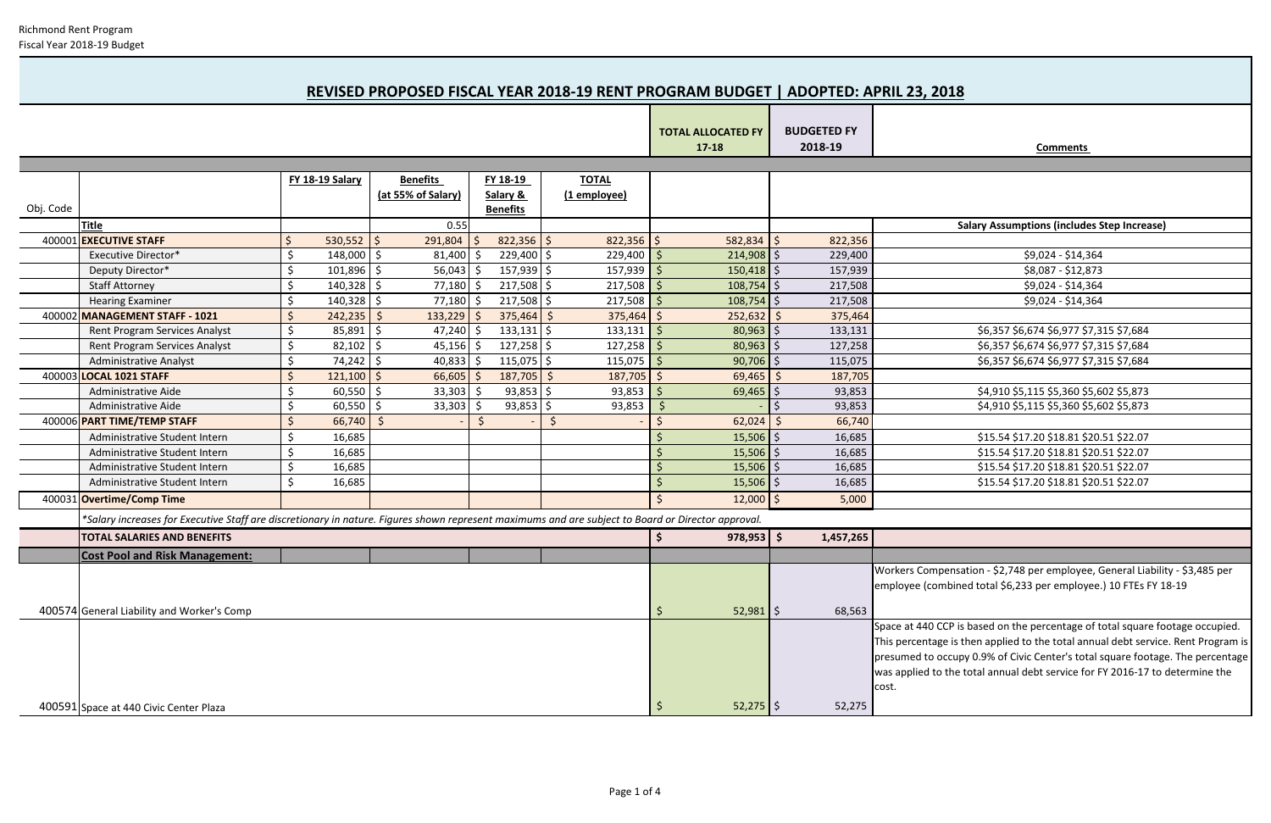| Comments |
|----------|
|          |

 $\overline{\phantom{0}}$ 

|           |                                                                                                                                                    |                    |                 |    |                    |  |                 |                | <b>TOTAL ALLOCATED FY</b><br>$17 - 18$ |  | <b>BUDGETED FY</b><br>2018-19 | <b>Comments</b>                                                                                                                                                                                                                                                                                                                               |
|-----------|----------------------------------------------------------------------------------------------------------------------------------------------------|--------------------|-----------------|----|--------------------|--|-----------------|----------------|----------------------------------------|--|-------------------------------|-----------------------------------------------------------------------------------------------------------------------------------------------------------------------------------------------------------------------------------------------------------------------------------------------------------------------------------------------|
|           |                                                                                                                                                    |                    |                 |    |                    |  |                 |                |                                        |  |                               |                                                                                                                                                                                                                                                                                                                                               |
|           |                                                                                                                                                    |                    | FY 18-19 Salary |    | <b>Benefits</b>    |  | FY 18-19        | <b>TOTAL</b>   |                                        |  |                               |                                                                                                                                                                                                                                                                                                                                               |
|           |                                                                                                                                                    |                    |                 |    | (at 55% of Salary) |  | Salary &        | (1 employee)   |                                        |  |                               |                                                                                                                                                                                                                                                                                                                                               |
| Obj. Code |                                                                                                                                                    |                    |                 |    |                    |  | <b>Benefits</b> |                |                                        |  |                               |                                                                                                                                                                                                                                                                                                                                               |
|           | <b>Title</b>                                                                                                                                       |                    |                 |    | 0.55               |  |                 |                |                                        |  |                               | <b>Salary Assumptions (includes Step Increase)</b>                                                                                                                                                                                                                                                                                            |
|           | 400001 EXECUTIVE STAFF                                                                                                                             | $\zeta$            | $530,552$   \$  |    | 291,804            |  | $822,356$ \$    | $822,356$ \$   | $582,834$ \$                           |  | 822,356                       |                                                                                                                                                                                                                                                                                                                                               |
|           | <b>Executive Director*</b>                                                                                                                         | $\zeta$            | $148,000$ \$    |    | $81,400$ \$        |  | $229,400$ \$    | 229,400        | $214,908$ \$                           |  | 229,400                       | \$9,024 - \$14,364                                                                                                                                                                                                                                                                                                                            |
|           | Deputy Director*                                                                                                                                   | S,                 | $101,896$ \$    |    | $56,043$ \$        |  | $157,939$ \$    | 157,939        | $150,418$ \$                           |  | 157,939                       | \$8,087 - \$12,873                                                                                                                                                                                                                                                                                                                            |
|           | <b>Staff Attorney</b>                                                                                                                              | \$                 | $140,328$ \$    |    | 77,180             |  | 217,508         | 217,508<br>-Ś  | 108,754                                |  | 217,508                       | \$9,024 - \$14,364                                                                                                                                                                                                                                                                                                                            |
|           | <b>Hearing Examiner</b>                                                                                                                            | Ś.                 | $140,328$ \$    |    | $77,180$ \$        |  | 217,508         | 217,508<br>-\$ | $108,754$ \$                           |  | 217,508                       | \$9,024 - \$14,364                                                                                                                                                                                                                                                                                                                            |
|           | 400002 MANAGEMENT STAFF - 1021                                                                                                                     | $\mathsf{\dot{S}}$ | 242,235         | -S | $133,229$ \$       |  | $375,464$ \$    | $375,464$ \$   | $252,632$ \$                           |  | 375,464                       |                                                                                                                                                                                                                                                                                                                                               |
|           | <b>Rent Program Services Analyst</b>                                                                                                               | $\zeta$            | $85,891$ \$     |    | $47,240$ \$        |  | $133,131$ \$    | $133,131$ \$   | $80,963$ \$                            |  | 133,131                       | \$6,357 \$6,674 \$6,977 \$7,315 \$7,684                                                                                                                                                                                                                                                                                                       |
|           | Rent Program Services Analyst                                                                                                                      | $\zeta$            | $82,102$ \$     |    | $45,156$ \$        |  | $127,258$ \$    | 127,258        | 80,963                                 |  | 127,258                       | \$6,357 \$6,674 \$6,977 \$7,315 \$7,684                                                                                                                                                                                                                                                                                                       |
|           | <b>Administrative Analyst</b>                                                                                                                      | $\zeta$            | $74,242$ \$     |    | 40,833             |  | 115,075         | 115,075<br>-S  | 90,706                                 |  | 115,075                       | \$6,357 \$6,674 \$6,977 \$7,315 \$7,684                                                                                                                                                                                                                                                                                                       |
| 400003    | <b>LOCAL 1021 STAFF</b>                                                                                                                            |                    | $121,100$ \$    |    | 66,605             |  | 187,705         | 187,705<br>-S  | 69,465                                 |  | 187,705                       |                                                                                                                                                                                                                                                                                                                                               |
|           | Administrative Aide                                                                                                                                | Ŝ,                 | $60,550$ \$     |    | 33,303             |  | 93,853          | 93,853<br>-S   | 69,465                                 |  | 93,853                        | \$4,910 \$5,115 \$5,360 \$5,602 \$5,873                                                                                                                                                                                                                                                                                                       |
|           | Administrative Aide                                                                                                                                |                    | $60,550$ \$     |    | 33,303             |  | $93,853$ \$     | 93,853         | <sup>\$</sup>                          |  | 93,853                        | \$4,910 \$5,115 \$5,360 \$5,602 \$5,873                                                                                                                                                                                                                                                                                                       |
|           | 400006 PART TIME/TEMP STAFF                                                                                                                        |                    | 66,740          |    |                    |  |                 | <sub>S</sub>   | 62,024                                 |  | 66,740                        |                                                                                                                                                                                                                                                                                                                                               |
|           | Administrative Student Intern                                                                                                                      | Ŝ,                 | 16,685          |    |                    |  |                 |                | $15,506$ \$                            |  | 16,685                        | \$15.54 \$17.20 \$18.81 \$20.51 \$22.07                                                                                                                                                                                                                                                                                                       |
|           | Administrative Student Intern                                                                                                                      | $\zeta$            | 16,685          |    |                    |  |                 |                | 15,506                                 |  | 16,685                        | \$15.54 \$17.20 \$18.81 \$20.51 \$22.07                                                                                                                                                                                                                                                                                                       |
|           | Administrative Student Intern                                                                                                                      | $\zeta$            | 16,685          |    |                    |  |                 |                | 15,506                                 |  | 16,685                        | \$15.54 \$17.20 \$18.81 \$20.51 \$22.07                                                                                                                                                                                                                                                                                                       |
|           | Administrative Student Intern                                                                                                                      | Ŝ.                 | 16,685          |    |                    |  |                 |                | $15,506$ \$                            |  | 16,685                        | \$15.54 \$17.20 \$18.81 \$20.51 \$22.07                                                                                                                                                                                                                                                                                                       |
|           | 400031 Overtime/Comp Time                                                                                                                          |                    |                 |    |                    |  |                 |                | $12,000$ \$                            |  | 5,000                         |                                                                                                                                                                                                                                                                                                                                               |
|           | *Salary increases for Executive Staff are discretionary in nature. Figures shown represent maximums and are subject to Board or Director approval. |                    |                 |    |                    |  |                 |                |                                        |  |                               |                                                                                                                                                                                                                                                                                                                                               |
|           | <b>TOTAL SALARIES AND BENEFITS</b>                                                                                                                 |                    |                 |    |                    |  |                 |                | $978,953$ \$                           |  | 1,457,265                     |                                                                                                                                                                                                                                                                                                                                               |
|           | <b>Cost Pool and Risk Management:</b>                                                                                                              |                    |                 |    |                    |  |                 |                |                                        |  |                               |                                                                                                                                                                                                                                                                                                                                               |
|           |                                                                                                                                                    |                    |                 |    |                    |  |                 |                |                                        |  |                               | Workers Compensation - \$2,748 per employee, General Liability - \$3,485 per<br>employee (combined total \$6,233 per employee.) 10 FTEs FY 18-19                                                                                                                                                                                              |
|           | 400574 General Liability and Worker's Comp                                                                                                         |                    |                 |    |                    |  |                 |                | $52,981$ \$                            |  | 68,563                        |                                                                                                                                                                                                                                                                                                                                               |
|           |                                                                                                                                                    |                    |                 |    |                    |  |                 |                |                                        |  |                               | Space at 440 CCP is based on the percentage of total square footage occupied.<br>This percentage is then applied to the total annual debt service. Rent Program is<br>presumed to occupy 0.9% of Civic Center's total square footage. The percentage<br>was applied to the total annual debt service for FY 2016-17 to determine the<br>cost. |
|           | 400591 Space at 440 Civic Center Plaza                                                                                                             |                    |                 |    |                    |  |                 |                | $52,275$ \$                            |  | 52,275                        |                                                                                                                                                                                                                                                                                                                                               |

# **REVISED PROPOSED FISCAL YEAR 2018-19 RENT PROGRAM BUDGET | ADOPTED: APRIL 23, 2018**

Т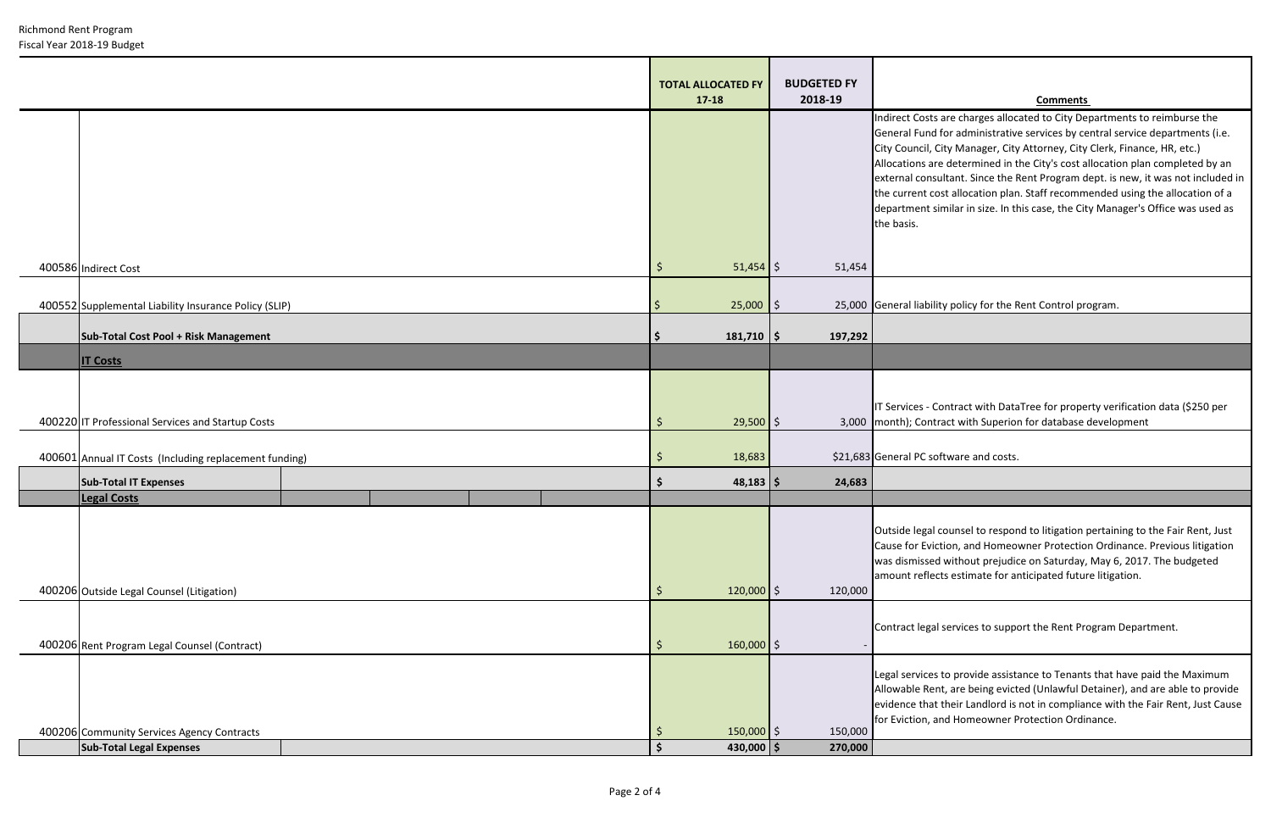| <b>Richmond Rent Program</b> |
|------------------------------|
| Fiscal Year 2018-19 Budget   |

#### **2018-19 Comments**

ts are charges allocated to City Departments to reimburse the d for administrative services by central service departments (i.e. City Manager, City Attorney, City Clerk, Finance, HR, etc.) are determined in the City's cost allocation plan completed by an isultant. Since the Rent Program dept. is new, it was not included in cost allocation plan. Staff recommended using the allocation of a similar in size. In this case, the City Manager's Office was used as

bility policy for the Rent Control program.

Contract with DataTree for property verification data (\$250 per itract with Superion for database development

I counsel to respond to litigation pertaining to the Fair Rent, Just viction, and Homeowner Protection Ordinance. Previous litigation ed without prejudice on Saturday, May 6, 2017. The budgeted ects estimate for anticipated future litigation.

al services to support the Rent Program Department.

es to provide assistance to Tenants that have paid the Maximum ent, are being evicted (Unlawful Detainer), and are able to provide at their Landlord is not in compliance with the Fair Rent, Just Cause and Homeowner Protection Ordinance.

|                                                        |  |  | <b>TOTAL ALLOCATED FY</b><br>$17 - 18$ |                       | <b>BUDGETED FY</b><br>2018-19 |                                                                                                                                                                                                                                                                       |
|--------------------------------------------------------|--|--|----------------------------------------|-----------------------|-------------------------------|-----------------------------------------------------------------------------------------------------------------------------------------------------------------------------------------------------------------------------------------------------------------------|
|                                                        |  |  |                                        |                       |                               | Indirect Costs are charges alloc<br>General Fund for administrative<br>City Council, City Manager, City<br>Allocations are determined in t<br>external consultant. Since the F<br>the current cost allocation plan<br>department similar in size. In th<br>the basis. |
| 400586 Indirect Cost                                   |  |  | $\zeta$                                | $51,454$ \$           | 51,454                        |                                                                                                                                                                                                                                                                       |
| 400552 Supplemental Liability Insurance Policy (SLIP)  |  |  |                                        | $25,000$ \$           |                               | 25,000 General liability policy for the F                                                                                                                                                                                                                             |
| Sub-Total Cost Pool + Risk Management                  |  |  |                                        | $181,710$   \$        | 197,292                       |                                                                                                                                                                                                                                                                       |
| <b>IT Costs</b>                                        |  |  |                                        |                       |                               |                                                                                                                                                                                                                                                                       |
| 400220 IT Professional Services and Startup Costs      |  |  | $\zeta$                                | $29,500$ \$           |                               | IT Services - Contract with Data<br>3,000 month); Contract with Superior                                                                                                                                                                                              |
| 400601 Annual IT Costs (Including replacement funding) |  |  | $\zeta$                                | 18,683                |                               | \$21,683 General PC software and costs.                                                                                                                                                                                                                               |
| <b>Sub-Total IT Expenses</b>                           |  |  | \$                                     | $48,183$   \$         | 24,683                        |                                                                                                                                                                                                                                                                       |
| <b>Legal Costs</b>                                     |  |  |                                        |                       |                               |                                                                                                                                                                                                                                                                       |
| 400206 Outside Legal Counsel (Litigation)              |  |  | \$                                     | $120,000$ \$          | 120,000                       | Outside legal counsel to respor<br>Cause for Eviction, and Homeo<br>was dismissed without prejudio<br>amount reflects estimate for ar                                                                                                                                 |
| 400206 Rent Program Legal Counsel (Contract)           |  |  | \$                                     | $160,000$ \$          |                               | Contract legal services to suppo                                                                                                                                                                                                                                      |
| 400206 Community Services Agency Contracts             |  |  | $\zeta$                                | $150,000$ \$          | 150,000                       | Legal services to provide assista<br>Allowable Rent, are being evict<br>evidence that their Landlord is<br>for Eviction, and Homeowner P                                                                                                                              |
| <b>Sub-Total Legal Expenses</b>                        |  |  | \$                                     | 430,000 $\frac{1}{2}$ | 270,000                       |                                                                                                                                                                                                                                                                       |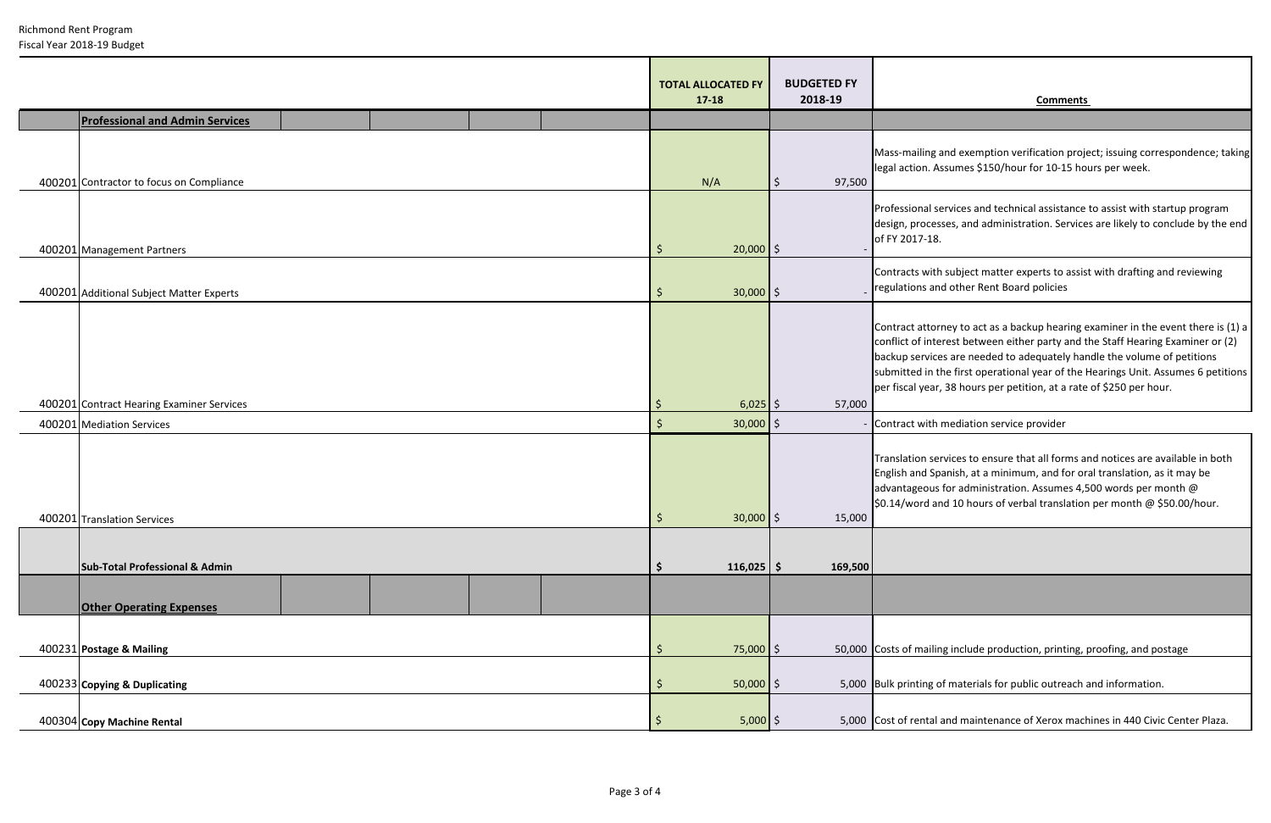Richmond Rent Program Fiscal Year 2018-19 Budget

### **2018-19 Comments**

and exemption verification project; issuing correspondence; taking Assumes \$150/hour for 10-15 hours per week.

services and technical assistance to assist with startup program esses, and administration. Services are likely to conclude by the end L8.

ith subject matter experts to assist with drafting and reviewing and other Rent Board policies

orney to act as a backup hearing examiner in the event there is (1) a terest between either party and the Staff Hearing Examiner or (2) ices are needed to adequately handle the volume of petitions I the first operational year of the Hearings Unit. Assumes 6 petitions ar, 38 hours per petition, at a rate of \$250 per hour.

# h mediation service provider

services to ensure that all forms and notices are available in both Spanish, at a minimum, and for oral translation, as it may be us for administration. Assumes 4,500 words per month  $@$ and 10 hours of verbal translation per month  $@$  \$50.00/hour.

ling include production, printing, proofing, and postage

thether of materials for public outreach and information.

al and maintenance of Xerox machines in 440 Civic Center Plaza.

|                                           | <b>TOTAL ALLOCATED FY</b><br>$17 - 18$ | <b>BUDGETED FY</b><br>2018-19 |                                                                                    |
|-------------------------------------------|----------------------------------------|-------------------------------|------------------------------------------------------------------------------------|
| <b>Professional and Admin Services</b>    |                                        |                               |                                                                                    |
| 400201 Contractor to focus on Compliance  | N/A                                    | 97,500<br>$\zeta$             | Mass-mailing<br>legal action.                                                      |
| 400201 Management Partners                | \$<br>$20,000$ \$                      |                               | Professional<br>design, proce<br>of FY 2017-1                                      |
| 400201 Additional Subject Matter Experts  | $30,000$ \$<br>\$                      |                               | Contracts wit<br>regulations a                                                     |
| 400201 Contract Hearing Examiner Services | $6,025$ \$<br>\$                       | 57,000                        | Contract atto<br>conflict of int<br>backup servi<br>submitted in<br>per fiscal yea |
| 400201 Mediation Services                 | \$<br>$30,000$ \$                      |                               | Contract witl                                                                      |
| 400201 Translation Services               | $30,000$ \$<br>\$                      | 15,000                        | <b>Translation s</b><br>English and S<br>advantageou<br>\$0.14/word a              |
| <b>Sub-Total Professional &amp; Admin</b> | \$<br>$116,025$ \$                     | 169,500                       |                                                                                    |
| <b>Other Operating Expenses</b>           |                                        |                               |                                                                                    |
| 400231 Postage & Mailing                  | \$<br>75,000 \$                        |                               | 50,000 Costs of mail                                                               |
| 400233 Copying & Duplicating              | $50,000$ \$<br>\$                      |                               | 5,000 Bulk printing                                                                |
| 400304 Copy Machine Rental                | \$<br>$5,000$ \$                       |                               | 5,000 Cost of renta                                                                |